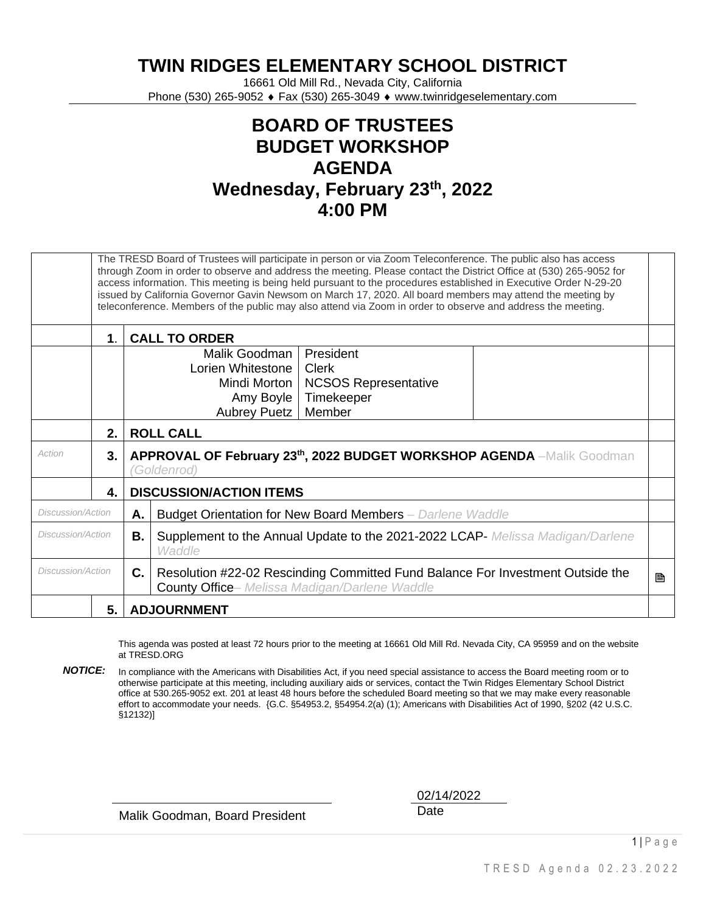**TWIN RIDGES ELEMENTARY SCHOOL DISTRICT**

16661 Old Mill Rd., Nevada City, California Phone (530) 265-9052 ♦ Fax (530) 265-3049 ♦ www.twinridgeselementary.com

## **BOARD OF TRUSTEES BUDGET WORKSHOP AGENDA Wednesday, February 23th, 2022 4:00 PM**

|                   | The TRESD Board of Trustees will participate in person or via Zoom Teleconference. The public also has access<br>through Zoom in order to observe and address the meeting. Please contact the District Office at (530) 265-9052 for<br>access information. This meeting is being held pursuant to the procedures established in Executive Order N-29-20<br>issued by California Governor Gavin Newsom on March 17, 2020. All board members may attend the meeting by<br>teleconference. Members of the public may also attend via Zoom in order to observe and address the meeting. |                                                                                                |                                                                                                                                                                           |  |  |
|-------------------|-------------------------------------------------------------------------------------------------------------------------------------------------------------------------------------------------------------------------------------------------------------------------------------------------------------------------------------------------------------------------------------------------------------------------------------------------------------------------------------------------------------------------------------------------------------------------------------|------------------------------------------------------------------------------------------------|---------------------------------------------------------------------------------------------------------------------------------------------------------------------------|--|--|
|                   | $\mathbf 1$                                                                                                                                                                                                                                                                                                                                                                                                                                                                                                                                                                         | <b>CALL TO ORDER</b>                                                                           |                                                                                                                                                                           |  |  |
|                   |                                                                                                                                                                                                                                                                                                                                                                                                                                                                                                                                                                                     |                                                                                                | President<br>Malik Goodman I<br>Lorien Whitestone  <br>Clerk<br>Mindi Morton  <br><b>NCSOS Representative</b><br>Amy Boyle<br>Timekeeper<br>Member<br><b>Aubrey Puetz</b> |  |  |
|                   | 2.                                                                                                                                                                                                                                                                                                                                                                                                                                                                                                                                                                                  | <b>ROLL CALL</b>                                                                               |                                                                                                                                                                           |  |  |
| Action            | 3.                                                                                                                                                                                                                                                                                                                                                                                                                                                                                                                                                                                  | <b>APPROVAL OF February 23th, 2022 BUDGET WORKSHOP AGENDA</b> -Malik Goodman<br>'Goldenrod)    |                                                                                                                                                                           |  |  |
|                   | 4.                                                                                                                                                                                                                                                                                                                                                                                                                                                                                                                                                                                  | <b>DISCUSSION/ACTION ITEMS</b>                                                                 |                                                                                                                                                                           |  |  |
| Discussion/Action |                                                                                                                                                                                                                                                                                                                                                                                                                                                                                                                                                                                     | А.                                                                                             | Budget Orientation for New Board Members - Darlene Waddle                                                                                                                 |  |  |
| Discussion/Action |                                                                                                                                                                                                                                                                                                                                                                                                                                                                                                                                                                                     | В.<br>Supplement to the Annual Update to the 2021-2022 LCAP- Melissa Madigan/Darlene<br>Waddle |                                                                                                                                                                           |  |  |
| Discussion/Action |                                                                                                                                                                                                                                                                                                                                                                                                                                                                                                                                                                                     | C.                                                                                             | Resolution #22-02 Rescinding Committed Fund Balance For Investment Outside the<br><b>County Office-</b> Melissa Madigan/Darlene Waddle                                    |  |  |
|                   | 5.                                                                                                                                                                                                                                                                                                                                                                                                                                                                                                                                                                                  |                                                                                                | <b>ADJOURNMENT</b>                                                                                                                                                        |  |  |

This agenda was posted at least 72 hours prior to the meeting at 16661 Old Mill Rd. Nevada City, CA 95959 and on the website at TRESD.ORG

*NOTICE:* In compliance with the Americans with Disabilities Act, if you need special assistance to access the Board meeting room or to otherwise participate at this meeting, including auxiliary aids or services, contact the Twin Ridges Elementary School District office at 530.265-9052 ext. 201 at least 48 hours before the scheduled Board meeting so that we may make every reasonable effort to accommodate your needs. {G.C. §54953.2, §54954.2(a) (1); Americans with Disabilities Act of 1990, §202 (42 U.S.C. §12132)]

Malik Goodman, Board President **Date** 

02/14/2022